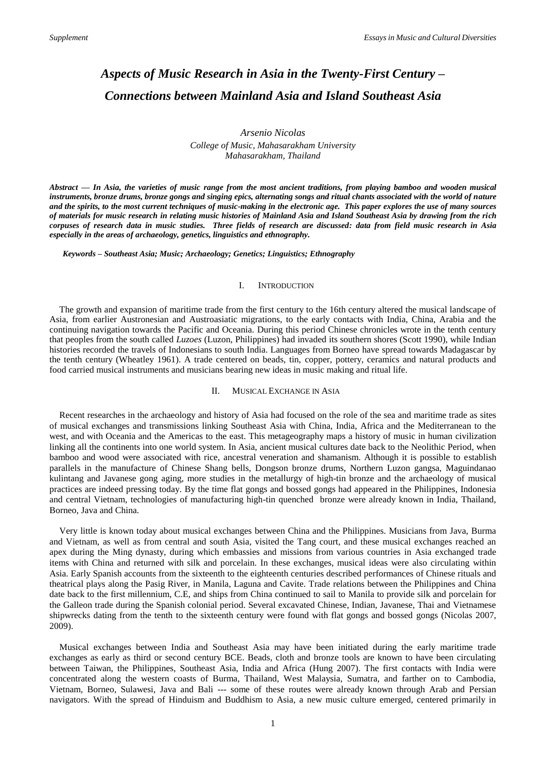# *Aspects of Music Research in Asia in the Twenty-First Century – Connections between Mainland Asia and Island Southeast Asia*

*Arsenio Nicolas College of Music, Mahasarakham University Mahasarakham, Thailand*

*Abstract* **—** *In Asia, the varieties of music range from the most ancient traditions, from playing bamboo and wooden musical instruments, bronze drums, bronze gongs and singing epics, alternating songs and ritual chants associated with the world of nature and the spirits, to the most current techniques of music-making in the electronic age. This paper explores the use of many sources of materials for music research in relating music histories of Mainland Asia and Island Southeast Asia by drawing from the rich corpuses of research data in music studies. Three fields of research are discussed: data from field music research in Asia especially in the areas of archaeology, genetics, linguistics and ethnography.*

*Keywords – Southeast Asia; Music; Archaeology; Genetics; Linguistics; Ethnography*

## I. INTRODUCTION

The growth and expansion of maritime trade from the first century to the 16th century altered the musical landscape of Asia, from earlier Austronesian and Austroasiatic migrations, to the early contacts with India, China, Arabia and the continuing navigation towards the Pacific and Oceania. During this period Chinese chronicles wrote in the tenth century that peoples from the south called *Luzoes* (Luzon, Philippines) had invaded its southern shores (Scott 1990), while Indian histories recorded the travels of Indonesians to south India. Languages from Borneo have spread towards Madagascar by the tenth century (Wheatley 1961). A trade centered on beads, tin, copper, pottery, ceramics and natural products and food carried musical instruments and musicians bearing new ideas in music making and ritual life.

## II. MUSICAL EXCHANGE IN ASIA

Recent researches in the archaeology and history of Asia had focused on the role of the sea and maritime trade as sites of musical exchanges and transmissions linking Southeast Asia with China, India, Africa and the Mediterranean to the west, and with Oceania and the Americas to the east. This metageography maps a history of music in human civilization linking all the continents into one world system. In Asia, ancient musical cultures date back to the Neolithic Period, when bamboo and wood were associated with rice, ancestral veneration and shamanism. Although it is possible to establish parallels in the manufacture of Chinese Shang bells, Dongson bronze drums, Northern Luzon gangsa, Maguindanao kulintang and Javanese gong aging, more studies in the metallurgy of high-tin bronze and the archaeology of musical practices are indeed pressing today. By the time flat gongs and bossed gongs had appeared in the Philippines, Indonesia and central Vietnam, technologies of manufacturing high-tin quenched bronze were already known in India, Thailand, Borneo, Java and China.

Very little is known today about musical exchanges between China and the Philippines. Musicians from Java, Burma and Vietnam, as well as from central and south Asia, visited the Tang court, and these musical exchanges reached an apex during the Ming dynasty, during which embassies and missions from various countries in Asia exchanged trade items with China and returned with silk and porcelain. In these exchanges, musical ideas were also circulating within Asia. Early Spanish accounts from the sixteenth to the eighteenth centuries described performances of Chinese rituals and theatrical plays along the Pasig River, in Manila, Laguna and Cavite. Trade relations between the Philippines and China date back to the first millennium, C.E, and ships from China continued to sail to Manila to provide silk and porcelain for the Galleon trade during the Spanish colonial period. Several excavated Chinese, Indian, Javanese, Thai and Vietnamese shipwrecks dating from the tenth to the sixteenth century were found with flat gongs and bossed gongs (Nicolas 2007, 2009).

Musical exchanges between India and Southeast Asia may have been initiated during the early maritime trade exchanges as early as third or second century BCE. Beads, cloth and bronze tools are known to have been circulating between Taiwan, the Philippines, Southeast Asia, India and Africa (Hung 2007). The first contacts with India were concentrated along the western coasts of Burma, Thailand, West Malaysia, Sumatra, and farther on to Cambodia, Vietnam, Borneo, Sulawesi, Java and Bali --- some of these routes were already known through Arab and Persian navigators. With the spread of Hinduism and Buddhism to Asia, a new music culture emerged, centered primarily in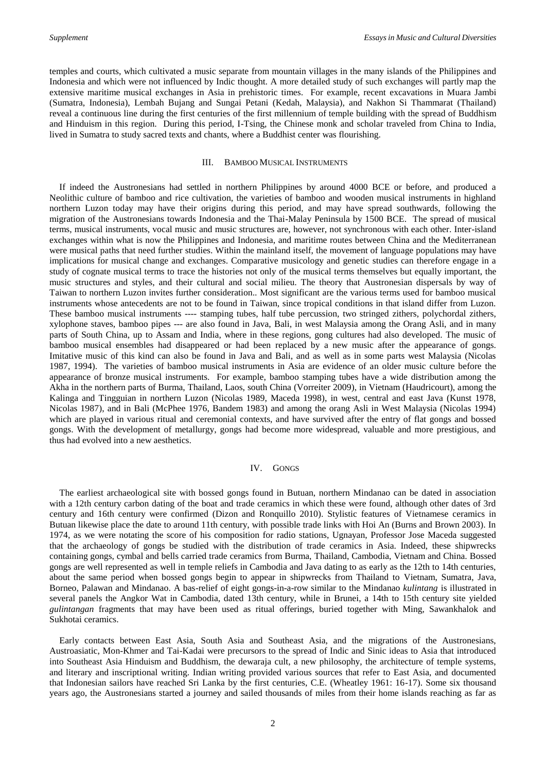temples and courts, which cultivated a music separate from mountain villages in the many islands of the Philippines and Indonesia and which were not influenced by Indic thought. A more detailed study of such exchanges will partly map the extensive maritime musical exchanges in Asia in prehistoric times. For example, recent excavations in Muara Jambi (Sumatra, Indonesia), Lembah Bujang and Sungai Petani (Kedah, Malaysia), and Nakhon Si Thammarat (Thailand) reveal a continuous line during the first centuries of the first millennium of temple building with the spread of Buddhism and Hinduism in this region. During this period, I-Tsing, the Chinese monk and scholar traveled from China to India, lived in Sumatra to study sacred texts and chants, where a Buddhist center was flourishing.

## III. BAMBOO MUSICAL INSTRUMENTS

If indeed the Austronesians had settled in northern Philippines by around 4000 BCE or before, and produced a Neolithic culture of bamboo and rice cultivation, the varieties of bamboo and wooden musical instruments in highland northern Luzon today may have their origins during this period, and may have spread southwards, following the migration of the Austronesians towards Indonesia and the Thai-Malay Peninsula by 1500 BCE. The spread of musical terms, musical instruments, vocal music and music structures are, however, not synchronous with each other. Inter-island exchanges within what is now the Philippines and Indonesia, and maritime routes between China and the Mediterranean were musical paths that need further studies. Within the mainland itself, the movement of language populations may have implications for musical change and exchanges. Comparative musicology and genetic studies can therefore engage in a study of cognate musical terms to trace the histories not only of the musical terms themselves but equally important, the music structures and styles, and their cultural and social milieu. The theory that Austronesian dispersals by way of Taiwan to northern Luzon invites further consideration.. Most significant are the various terms used for bamboo musical instruments whose antecedents are not to be found in Taiwan, since tropical conditions in that island differ from Luzon. These bamboo musical instruments ---- stamping tubes, half tube percussion, two stringed zithers, polychordal zithers, xylophone staves, bamboo pipes --- are also found in Java, Bali, in west Malaysia among the Orang Asli, and in many parts of South China, up to Assam and India, where in these regions, gong cultures had also developed. The music of bamboo musical ensembles had disappeared or had been replaced by a new music after the appearance of gongs. Imitative music of this kind can also be found in Java and Bali, and as well as in some parts west Malaysia (Nicolas 1987, 1994). The varieties of bamboo musical instruments in Asia are evidence of an older music culture before the appearance of bronze musical instruments. For example, bamboo stamping tubes have a wide distribution among the Akha in the northern parts of Burma, Thailand, Laos, south China (Vorreiter 2009), in Vietnam (Haudricourt), among the Kalinga and Tingguian in northern Luzon (Nicolas 1989, Maceda 1998), in west, central and east Java (Kunst 1978, Nicolas 1987), and in Bali (McPhee 1976, Bandem 1983) and among the orang Asli in West Malaysia (Nicolas 1994) which are played in various ritual and ceremonial contexts, and have survived after the entry of flat gongs and bossed gongs. With the development of metallurgy, gongs had become more widespread, valuable and more prestigious, and thus had evolved into a new aesthetics.

## IV. GONGS

The earliest archaeological site with bossed gongs found in Butuan, northern Mindanao can be dated in association with a 12th century carbon dating of the boat and trade ceramics in which these were found, although other dates of 3rd century and 16th century were confirmed (Dizon and Ronquillo 2010). Stylistic features of Vietnamese ceramics in Butuan likewise place the date to around 11th century, with possible trade links with Hoi An (Burns and Brown 2003). In 1974, as we were notating the score of his composition for radio stations, Ugnayan, Professor Jose Maceda suggested that the archaeology of gongs be studied with the distribution of trade ceramics in Asia. Indeed, these shipwrecks containing gongs, cymbal and bells carried trade ceramics from Burma, Thailand, Cambodia, Vietnam and China. Bossed gongs are well represented as well in temple reliefs in Cambodia and Java dating to as early as the 12th to 14th centuries, about the same period when bossed gongs begin to appear in shipwrecks from Thailand to Vietnam, Sumatra, Java, Borneo, Palawan and Mindanao. A bas-relief of eight gongs-in-a-row similar to the Mindanao *kulintang* is illustrated in several panels the Angkor Wat in Cambodia, dated 13th century, while in Brunei, a 14th to 15th century site yielded *gulintangan* fragments that may have been used as ritual offerings, buried together with Ming, Sawankhalok and Sukhotai ceramics.

Early contacts between East Asia, South Asia and Southeast Asia, and the migrations of the Austronesians, Austroasiatic, Mon-Khmer and Tai-Kadai were precursors to the spread of Indic and Sinic ideas to Asia that introduced into Southeast Asia Hinduism and Buddhism, the dewaraja cult, a new philosophy, the architecture of temple systems, and literary and inscriptional writing. Indian writing provided various sources that refer to East Asia, and documented that Indonesian sailors have reached Sri Lanka by the first centuries, C.E. (Wheatley 1961: 16-17). Some six thousand years ago, the Austronesians started a journey and sailed thousands of miles from their home islands reaching as far as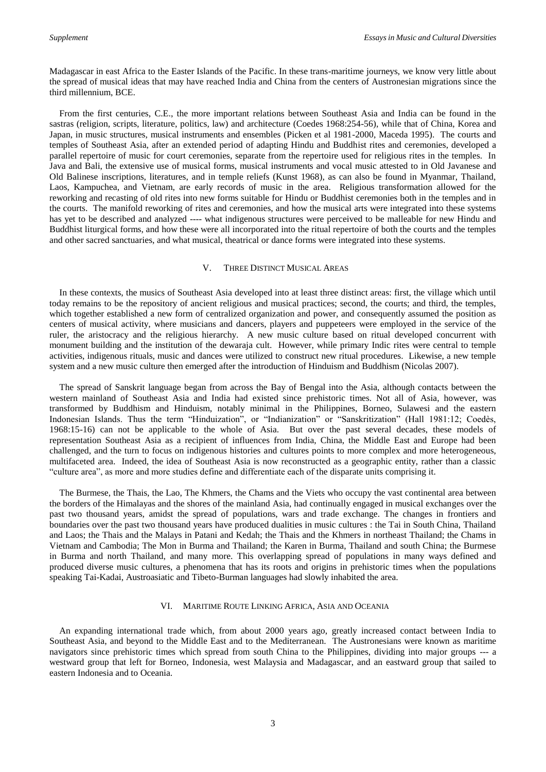Madagascar in east Africa to the Easter Islands of the Pacific. In these trans-maritime journeys, we know very little about the spread of musical ideas that may have reached India and China from the centers of Austronesian migrations since the third millennium, BCE.

From the first centuries, C.E., the more important relations between Southeast Asia and India can be found in the sastras (religion, scripts, literature, politics, law) and architecture (Coedes 1968:254-56), while that of China, Korea and Japan, in music structures, musical instruments and ensembles (Picken et al 1981-2000, Maceda 1995). The courts and temples of Southeast Asia, after an extended period of adapting Hindu and Buddhist rites and ceremonies, developed a parallel repertoire of music for court ceremonies, separate from the repertoire used for religious rites in the temples. In Java and Bali, the extensive use of musical forms, musical instruments and vocal music attested to in Old Javanese and Old Balinese inscriptions, literatures, and in temple reliefs (Kunst 1968), as can also be found in Myanmar, Thailand, Laos, Kampuchea, and Vietnam, are early records of music in the area. Religious transformation allowed for the reworking and recasting of old rites into new forms suitable for Hindu or Buddhist ceremonies both in the temples and in the courts. The manifold reworking of rites and ceremonies, and how the musical arts were integrated into these systems has yet to be described and analyzed ---- what indigenous structures were perceived to be malleable for new Hindu and Buddhist liturgical forms, and how these were all incorporated into the ritual repertoire of both the courts and the temples and other sacred sanctuaries, and what musical, theatrical or dance forms were integrated into these systems.

# V. THREE DISTINCT MUSICAL AREAS

In these contexts, the musics of Southeast Asia developed into at least three distinct areas: first, the village which until today remains to be the repository of ancient religious and musical practices; second, the courts; and third, the temples, which together established a new form of centralized organization and power, and consequently assumed the position as centers of musical activity, where musicians and dancers, players and puppeteers were employed in the service of the ruler, the aristocracy and the religious hierarchy. A new music culture based on ritual developed concurrent with monument building and the institution of the dewaraja cult. However, while primary Indic rites were central to temple activities, indigenous rituals, music and dances were utilized to construct new ritual procedures. Likewise, a new temple system and a new music culture then emerged after the introduction of Hinduism and Buddhism (Nicolas 2007).

The spread of Sanskrit language began from across the Bay of Bengal into the Asia, although contacts between the western mainland of Southeast Asia and India had existed since prehistoric times. Not all of Asia, however, was transformed by Buddhism and Hinduism, notably minimal in the Philippines, Borneo, Sulawesi and the eastern Indonesian Islands. Thus the term "Hinduization", or "Indianization" or "Sanskritization" (Hall 1981:12; Coedès, 1968:15-16) can not be applicable to the whole of Asia. But over the past several decades, these models of representation Southeast Asia as a recipient of influences from India, China, the Middle East and Europe had been challenged, and the turn to focus on indigenous histories and cultures points to more complex and more heterogeneous, multifaceted area. Indeed, the idea of Southeast Asia is now reconstructed as a geographic entity, rather than a classic "culture area", as more and more studies define and differentiate each of the disparate units comprising it.

The Burmese, the Thais, the Lao, The Khmers, the Chams and the Viets who occupy the vast continental area between the borders of the Himalayas and the shores of the mainland Asia, had continually engaged in musical exchanges over the past two thousand years, amidst the spread of populations, wars and trade exchange. The changes in frontiers and boundaries over the past two thousand years have produced dualities in music cultures : the Tai in South China, Thailand and Laos; the Thais and the Malays in Patani and Kedah; the Thais and the Khmers in northeast Thailand; the Chams in Vietnam and Cambodia; The Mon in Burma and Thailand; the Karen in Burma, Thailand and south China; the Burmese in Burma and north Thailand, and many more. This overlapping spread of populations in many ways defined and produced diverse music cultures, a phenomena that has its roots and origins in prehistoric times when the populations speaking Tai-Kadai, Austroasiatic and Tibeto-Burman languages had slowly inhabited the area.

## VI. MARITIME ROUTE LINKING AFRICA, ASIA AND OCEANIA

An expanding international trade which, from about 2000 years ago, greatly increased contact between India to Southeast Asia, and beyond to the Middle East and to the Mediterranean. The Austronesians were known as maritime navigators since prehistoric times which spread from south China to the Philippines, dividing into major groups --- a westward group that left for Borneo, Indonesia, west Malaysia and Madagascar, and an eastward group that sailed to eastern Indonesia and to Oceania.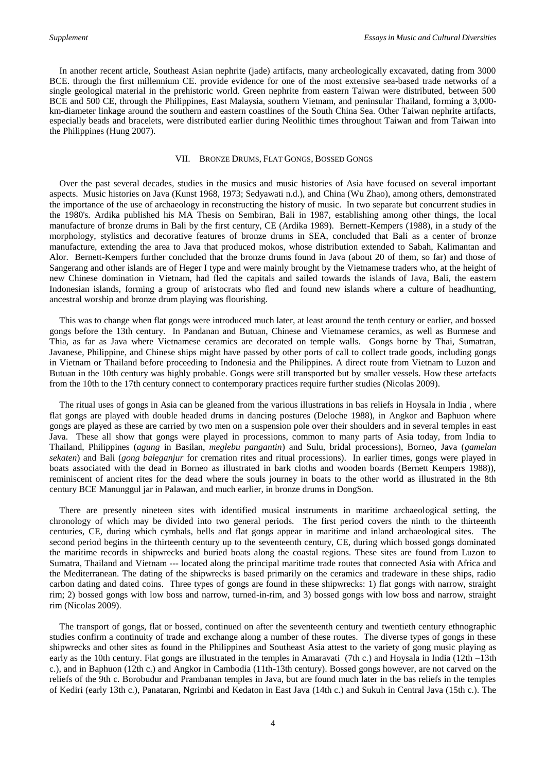In another recent article, Southeast Asian nephrite (jade) artifacts, many archeologically excavated, dating from 3000 BCE. through the first millennium CE. provide evidence for one of the most extensive sea-based trade networks of a single geological material in the prehistoric world. Green nephrite from eastern Taiwan were distributed, between 500 BCE and 500 CE, through the Philippines, East Malaysia, southern Vietnam, and peninsular Thailand, forming a 3,000 km-diameter linkage around the southern and eastern coastlines of the South China Sea. Other Taiwan nephrite artifacts, especially beads and bracelets, were distributed earlier during Neolithic times throughout Taiwan and from Taiwan into the Philippines (Hung 2007).

## VII. BRONZE DRUMS, FLAT GONGS, BOSSED GONGS

Over the past several decades, studies in the musics and music histories of Asia have focused on several important aspects. Music histories on Java (Kunst 1968, 1973; Sedyawati n.d.), and China (Wu Zhao), among others, demonstrated the importance of the use of archaeology in reconstructing the history of music. In two separate but concurrent studies in the 1980's. Ardika published his MA Thesis on Sembiran, Bali in 1987, establishing among other things, the local manufacture of bronze drums in Bali by the first century, CE (Ardika 1989). Bernett-Kempers (1988), in a study of the morphology, stylistics and decorative features of bronze drums in SEA, concluded that Bali as a center of bronze manufacture, extending the area to Java that produced mokos, whose distribution extended to Sabah, Kalimantan and Alor. Bernett-Kempers further concluded that the bronze drums found in Java (about 20 of them, so far) and those of Sangerang and other islands are of Heger I type and were mainly brought by the Vietnamese traders who, at the height of new Chinese domination in Vietnam, had fled the capitals and sailed towards the islands of Java, Bali, the eastern Indonesian islands, forming a group of aristocrats who fled and found new islands where a culture of headhunting, ancestral worship and bronze drum playing was flourishing.

This was to change when flat gongs were introduced much later, at least around the tenth century or earlier, and bossed gongs before the 13th century. In Pandanan and Butuan, Chinese and Vietnamese ceramics, as well as Burmese and Thia, as far as Java where Vietnamese ceramics are decorated on temple walls. Gongs borne by Thai, Sumatran, Javanese, Philippine, and Chinese ships might have passed by other ports of call to collect trade goods, including gongs in Vietnam or Thailand before proceeding to Indonesia and the Philippines. A direct route from Vietnam to Luzon and Butuan in the 10th century was highly probable. Gongs were still transported but by smaller vessels. How these artefacts from the 10th to the 17th century connect to contemporary practices require further studies (Nicolas 2009).

The ritual uses of gongs in Asia can be gleaned from the various illustrations in bas reliefs in Hoysala in India , where flat gongs are played with double headed drums in dancing postures (Deloche 1988), in Angkor and Baphuon where gongs are played as these are carried by two men on a suspension pole over their shoulders and in several temples in east Java. These all show that gongs were played in processions, common to many parts of Asia today, from India to Thailand, Philippines (*agung* in Basilan, *meglebu pangantin*) and Sulu, bridal processions), Borneo, Java (*gamelan sekaten*) and Bali (*gong baleganjur* for cremation rites and ritual processions). In earlier times, gongs were played in boats associated with the dead in Borneo as illustrated in bark cloths and wooden boards (Bernett Kempers 1988)), reminiscent of ancient rites for the dead where the souls journey in boats to the other world as illustrated in the 8th century BCE Manunggul jar in Palawan, and much earlier, in bronze drums in DongSon.

There are presently nineteen sites with identified musical instruments in maritime archaeological setting, the chronology of which may be divided into two general periods. The first period covers the ninth to the thirteenth centuries, CE, during which cymbals, bells and flat gongs appear in maritime and inland archaeological sites. The second period begins in the thirteenth century up to the seventeenth century, CE, during which bossed gongs dominated the maritime records in shipwrecks and buried boats along the coastal regions. These sites are found from Luzon to Sumatra, Thailand and Vietnam --- located along the principal maritime trade routes that connected Asia with Africa and the Mediterranean. The dating of the shipwrecks is based primarily on the ceramics and tradeware in these ships, radio carbon dating and dated coins. Three types of gongs are found in these shipwrecks: 1) flat gongs with narrow, straight rim; 2) bossed gongs with low boss and narrow, turned-in-rim, and 3) bossed gongs with low boss and narrow, straight rim (Nicolas 2009).

The transport of gongs, flat or bossed, continued on after the seventeenth century and twentieth century ethnographic studies confirm a continuity of trade and exchange along a number of these routes. The diverse types of gongs in these shipwrecks and other sites as found in the Philippines and Southeast Asia attest to the variety of gong music playing as early as the 10th century. Flat gongs are illustrated in the temples in Amaravati (7th c.) and Hoysala in India (12th –13th c.), and in Baphuon (12th c.) and Angkor in Cambodia (11th-13th century). Bossed gongs however, are not carved on the reliefs of the 9th c. Borobudur and Prambanan temples in Java, but are found much later in the bas reliefs in the temples of Kediri (early 13th c.), Panataran, Ngrimbi and Kedaton in East Java (14th c.) and Sukuh in Central Java (15th c.). The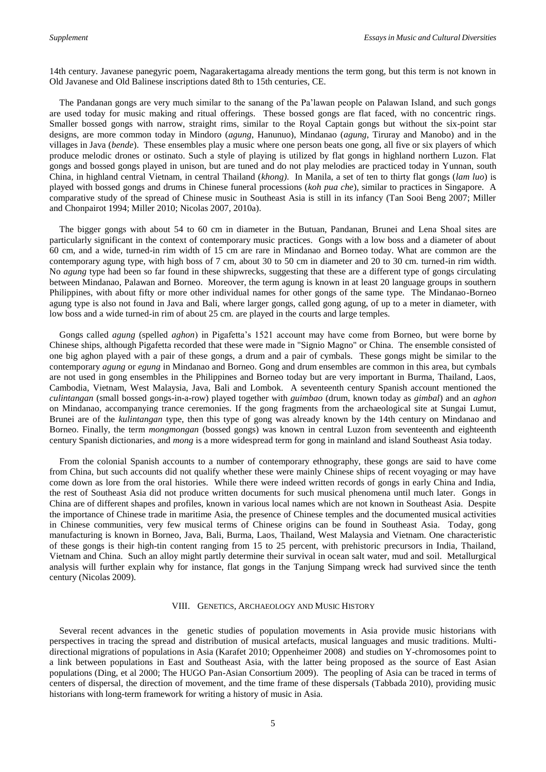14th century. Javanese panegyric poem, Nagarakertagama already mentions the term gong, but this term is not known in Old Javanese and Old Balinese inscriptions dated 8th to 15th centuries, CE.

The Pandanan gongs are very much similar to the sanang of the Pa'lawan people on Palawan Island, and such gongs are used today for music making and ritual offerings. These bossed gongs are flat faced, with no concentric rings. Smaller bossed gongs with narrow, straight rims, similar to the Royal Captain gongs but without the six-point star designs, are more common today in Mindoro (*agung*, Hanunuo), Mindanao (*agung*, Tiruray and Manobo) and in the villages in Java (*bende*). These ensembles play a music where one person beats one gong, all five or six players of which produce melodic drones or ostinato. Such a style of playing is utilized by flat gongs in highland northern Luzon. Flat gongs and bossed gongs played in unison, but are tuned and do not play melodies are practiced today in Yunnan, south China, in highland central Vietnam, in central Thailand (*khong)*. In Manila, a set of ten to thirty flat gongs (*lam luo*) is played with bossed gongs and drums in Chinese funeral processions (*koh pua che*), similar to practices in Singapore. A comparative study of the spread of Chinese music in Southeast Asia is still in its infancy (Tan Sooi Beng 2007; Miller and Chonpairot 1994; Miller 2010; Nicolas 2007, 2010a).

The bigger gongs with about 54 to 60 cm in diameter in the Butuan, Pandanan, Brunei and Lena Shoal sites are particularly significant in the context of contemporary music practices. Gongs with a low boss and a diameter of about 60 cm, and a wide, turned-in rim width of 15 cm are rare in Mindanao and Borneo today. What are common are the contemporary agung type, with high boss of 7 cm, about 30 to 50 cm in diameter and 20 to 30 cm. turned-in rim width. No *agung* type had been so far found in these shipwrecks, suggesting that these are a different type of gongs circulating between Mindanao, Palawan and Borneo. Moreover, the term agung is known in at least 20 language groups in southern Philippines, with about fifty or more other individual names for other gongs of the same type. The Mindanao-Borneo agung type is also not found in Java and Bali, where larger gongs, called gong agung, of up to a meter in diameter, with low boss and a wide turned-in rim of about 25 cm. are played in the courts and large temples.

Gongs called *agung* (spelled *aghon*) in Pigafetta's 1521 account may have come from Borneo, but were borne by Chinese ships, although Pigafetta recorded that these were made in "Signio Magno" or China. The ensemble consisted of one big aghon played with a pair of these gongs, a drum and a pair of cymbals. These gongs might be similar to the contemporary *agung* or *egung* in Mindanao and Borneo. Gong and drum ensembles are common in this area, but cymbals are not used in gong ensembles in the Philippines and Borneo today but are very important in Burma, Thailand, Laos, Cambodia, Vietnam, West Malaysia, Java, Bali and Lombok. A seventeenth century Spanish account mentioned the *culintangan* (small bossed gongs-in-a-row) played together with *guimbao* (drum, known today as *gimbal*) and an *aghon* on Mindanao, accompanying trance ceremonies. If the gong fragments from the archaeological site at Sungai Lumut, Brunei are of the *kulintangan* type, then this type of gong was already known by the 14th century on Mindanao and Borneo. Finally, the term *mongmongan* (bossed gongs) was known in central Luzon from seventeenth and eighteenth century Spanish dictionaries, and *mong* is a more widespread term for gong in mainland and island Southeast Asia today.

From the colonial Spanish accounts to a number of contemporary ethnography, these gongs are said to have come from China, but such accounts did not qualify whether these were mainly Chinese ships of recent voyaging or may have come down as lore from the oral histories. While there were indeed written records of gongs in early China and India, the rest of Southeast Asia did not produce written documents for such musical phenomena until much later. Gongs in China are of different shapes and profiles, known in various local names which are not known in Southeast Asia. Despite the importance of Chinese trade in maritime Asia, the presence of Chinese temples and the documented musical activities in Chinese communities, very few musical terms of Chinese origins can be found in Southeast Asia. Today, gong manufacturing is known in Borneo, Java, Bali, Burma, Laos, Thailand, West Malaysia and Vietnam. One characteristic of these gongs is their high-tin content ranging from 15 to 25 percent, with prehistoric precursors in India, Thailand, Vietnam and China. Such an alloy might partly determine their survival in ocean salt water, mud and soil. Metallurgical analysis will further explain why for instance, flat gongs in the Tanjung Simpang wreck had survived since the tenth century (Nicolas 2009).

# VIII. GENETICS, ARCHAEOLOGY AND MUSIC HISTORY

Several recent advances in the genetic studies of population movements in Asia provide music historians with perspectives in tracing the spread and distribution of musical artefacts, musical languages and music traditions. Multidirectional migrations of populations in Asia (Karafet 2010; Oppenheimer 2008) and studies on Y-chromosomes point to a link between populations in East and Southeast Asia, with the latter being proposed as the source of East Asian populations (Ding, et al 2000; The HUGO Pan-Asian Consortium 2009). The peopling of Asia can be traced in terms of centers of dispersal, the direction of movement, and the time frame of these dispersals (Tabbada 2010), providing music historians with long-term framework for writing a history of music in Asia.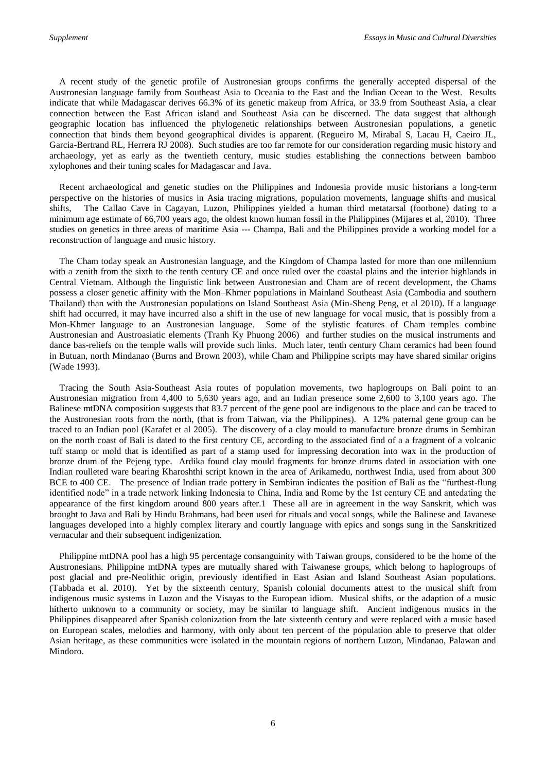A recent study of the genetic profile of Austronesian groups confirms the generally accepted dispersal of the Austronesian language family from Southeast Asia to Oceania to the East and the Indian Ocean to the West. Results indicate that while Madagascar derives 66.3% of its genetic makeup from Africa, or 33.9 from Southeast Asia, a clear connection between the East African island and Southeast Asia can be discerned. The data suggest that although geographic location has influenced the phylogenetic relationships between Austronesian populations, a genetic connection that binds them beyond geographical divides is apparent. (Regueiro M, Mirabal S, Lacau H, Caeiro JL, Garcia-Bertrand RL, Herrera RJ 2008). Such studies are too far remote for our consideration regarding music history and archaeology, yet as early as the twentieth century, music studies establishing the connections between bamboo xylophones and their tuning scales for Madagascar and Java.

Recent archaeological and genetic studies on the Philippines and Indonesia provide music historians a long-term perspective on the histories of musics in Asia tracing migrations, population movements, language shifts and musical shifts, The Callao Cave in Cagayan, Luzon, Philippines yielded a human third metatarsal (footbone) dating to a minimum age estimate of 66,700 years ago, the oldest known human fossil in the Philippines (Mijares et al, 2010). Three studies on genetics in three areas of maritime Asia --- Champa, Bali and the Philippines provide a working model for a reconstruction of language and music history.

The Cham today speak an Austronesian language, and the Kingdom of Champa lasted for more than one millennium with a zenith from the sixth to the tenth century CE and once ruled over the coastal plains and the interior highlands in Central Vietnam. Although the linguistic link between Austronesian and Cham are of recent development, the Chams possess a closer genetic affinity with the Mon–Khmer populations in Mainland Southeast Asia (Cambodia and southern Thailand) than with the Austronesian populations on Island Southeast Asia (Min-Sheng Peng, et al 2010). If a language shift had occurred, it may have incurred also a shift in the use of new language for vocal music, that is possibly from a Mon-Khmer language to an Austronesian language. Some of the stylistic features of Cham temples combine Austronesian and Austroasiatic elements (Tranh Ky Phuong 2006) and further studies on the musical instruments and dance bas-reliefs on the temple walls will provide such links. Much later, tenth century Cham ceramics had been found in Butuan, north Mindanao (Burns and Brown 2003), while Cham and Philippine scripts may have shared similar origins (Wade 1993).

Tracing the South Asia-Southeast Asia routes of population movements, two haplogroups on Bali point to an Austronesian migration from 4,400 to 5,630 years ago, and an Indian presence some 2,600 to 3,100 years ago. The Balinese mtDNA composition suggests that 83.7 percent of the gene pool are indigenous to the place and can be traced to the Austronesian roots from the north, (that is from Taiwan, via the Philippines). A 12% paternal gene group can be traced to an Indian pool (Karafet et al 2005). The discovery of a clay mould to manufacture bronze drums in Sembiran on the north coast of Bali is dated to the first century CE, according to the associated find of a a fragment of a volcanic tuff stamp or mold that is identified as part of a stamp used for impressing decoration into wax in the production of bronze drum of the Pejeng type. Ardika found clay mould fragments for bronze drums dated in association with one Indian roulleted ware bearing Kharoshthi script known in the area of Arikamedu, northwest India, used from about 300 BCE to 400 CE. The presence of Indian trade pottery in Sembiran indicates the position of Bali as the "furthest-flung identified node" in a trade network linking Indonesia to China, India and Rome by the 1st century CE and antedating the appearance of the first kingdom around 800 years after.1 These all are in agreement in the way Sanskrit, which was brought to Java and Bali by Hindu Brahmans, had been used for rituals and vocal songs, while the Balinese and Javanese languages developed into a highly complex literary and courtly language with epics and songs sung in the Sanskritized vernacular and their subsequent indigenization.

Philippine mtDNA pool has a high 95 percentage consanguinity with Taiwan groups, considered to be the home of the Austronesians. Philippine mtDNA types are mutually shared with Taiwanese groups, which belong to haplogroups of post glacial and pre-Neolithic origin, previously identified in East Asian and Island Southeast Asian populations. (Tabbada et al. 2010). Yet by the sixteenth century, Spanish colonial documents attest to the musical shift from indigenous music systems in Luzon and the Visayas to the European idiom. Musical shifts, or the adaption of a music hitherto unknown to a community or society, may be similar to language shift. Ancient indigenous musics in the Philippines disappeared after Spanish colonization from the late sixteenth century and were replaced with a music based on European scales, melodies and harmony, with only about ten percent of the population able to preserve that older Asian heritage, as these communities were isolated in the mountain regions of northern Luzon, Mindanao, Palawan and Mindoro.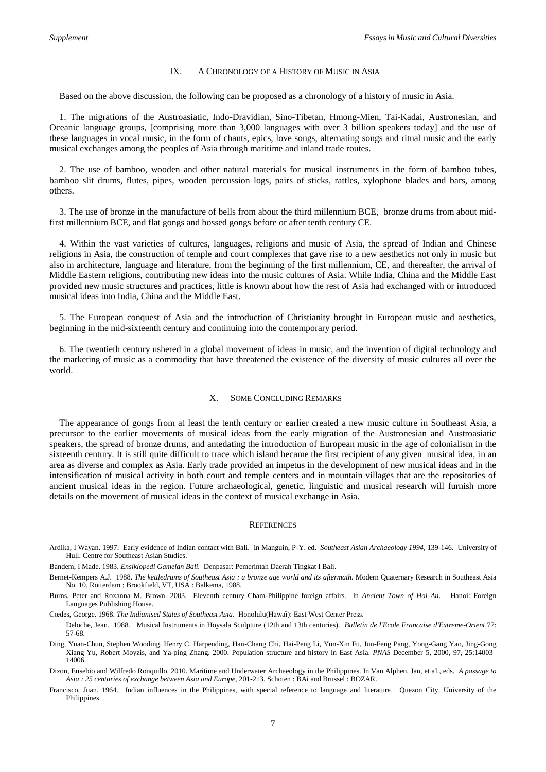## IX. A CHRONOLOGY OF A HISTORY OF MUSIC IN ASIA

Based on the above discussion, the following can be proposed as a chronology of a history of music in Asia.

1. The migrations of the Austroasiatic, Indo-Dravidian, Sino-Tibetan, Hmong-Mien, Tai-Kadai, Austronesian, and Oceanic language groups, [comprising more than 3,000 languages with over 3 billion speakers today] and the use of these languages in vocal music, in the form of chants, epics, love songs, alternating songs and ritual music and the early musical exchanges among the peoples of Asia through maritime and inland trade routes.

2. The use of bamboo, wooden and other natural materials for musical instruments in the form of bamboo tubes, bamboo slit drums, flutes, pipes, wooden percussion logs, pairs of sticks, rattles, xylophone blades and bars, among others.

3. The use of bronze in the manufacture of bells from about the third millennium BCE, bronze drums from about midfirst millennium BCE, and flat gongs and bossed gongs before or after tenth century CE.

4. Within the vast varieties of cultures, languages, religions and music of Asia, the spread of Indian and Chinese religions in Asia, the construction of temple and court complexes that gave rise to a new aesthetics not only in music but also in architecture, language and literature, from the beginning of the first millennium, CE, and thereafter, the arrival of Middle Eastern religions, contributing new ideas into the music cultures of Asia. While India, China and the Middle East provided new music structures and practices, little is known about how the rest of Asia had exchanged with or introduced musical ideas into India, China and the Middle East.

5. The European conquest of Asia and the introduction of Christianity brought in European music and aesthetics, beginning in the mid-sixteenth century and continuing into the contemporary period.

6. The twentieth century ushered in a global movement of ideas in music, and the invention of digital technology and the marketing of music as a commodity that have threatened the existence of the diversity of music cultures all over the world.

## X. SOME CONCLUDING REMARKS

The appearance of gongs from at least the tenth century or earlier created a new music culture in Southeast Asia, a precursor to the earlier movements of musical ideas from the early migration of the Austronesian and Austroasiatic speakers, the spread of bronze drums, and antedating the introduction of European music in the age of colonialism in the sixteenth century. It is still quite difficult to trace which island became the first recipient of any given musical idea, in an area as diverse and complex as Asia. Early trade provided an impetus in the development of new musical ideas and in the intensification of musical activity in both court and temple centers and in mountain villages that are the repositories of ancient musical ideas in the region. Future archaeological, genetic, linguistic and musical research will furnish more details on the movement of musical ideas in the context of musical exchange in Asia.

#### **REFERENCES**

Ardika, I Wayan. 1997. Early evidence of Indian contact with Bali. In Manguin, P-Y. ed. *Southeast Asian Archaeology 1994*, 139-146. University of Hull. Centre for Southeast Asian Studies.

Bandem, I Made. 1983. *Ensiklopedi Gamelan Bali.* Denpasar: Pemerintah Daerah Tingkat I Bali.

Bernet-Kempers A.J. 1988. *The kettledrums of Southeast Asia : a bronze age world and its aftermath.* Modern Quaternary Research in Southeast Asia No. 10. Rotterdam ; Brookfield, VT, USA : Balkema, 1988.

Burns, Peter and Roxanna M. Brown. 2003. Eleventh century Cham-Philippine foreign affairs. In *Ancient Town of Hoi An*. Hanoi: Foreign Languages Publishing House.

Cœdès, George. 1968. *The Indianised States of Southeast Asia*. Honolulu(Hawaï): East West Center Press.

Deloche, Jean. 1988. Musical Instruments in Hoysala Sculpture (12th and 13th centuries). *Bulletin de l'Ecole Francaise d'Extreme-Orient* 77: 57-68.

Ding, Yuan-Chun, Stephen Wooding, Henry C. Harpending, Han-Chang Chi, Hai-Peng Li, Yun-Xin Fu, Jun-Feng Pang, Yong-Gang Yao, Jing-Gong Xiang Yu, Robert Moyzis, and Ya-ping Zhang. 2000. Population structure and history in East Asia. *PNAS* December 5, 2000, 97, 25:14003– 14006.

Dizon, Eusebio and Wilfredo Ronquillo. 2010. Maritime and Underwater Archaeology in the Philippines. In Van Alphen, Jan, et al., eds. *A passage to Asia : 25 centuries of exchange between Asia and Europe,* 201-213. Schoten : BAi and Brussel : BOZAR.

Francisco, Juan. 1964. Indian influences in the Philippines, with special reference to language and literature. Quezon City, University of the Philippines.